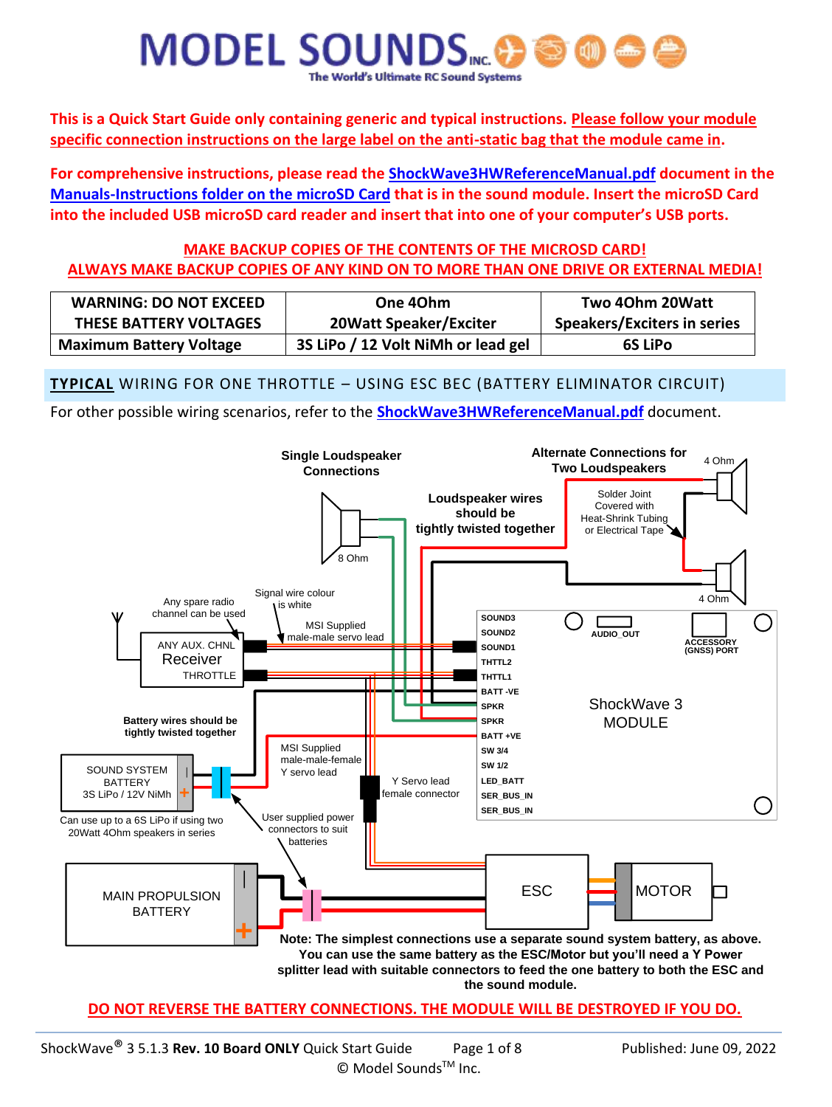**This is a Quick Start Guide only containing generic and typical instructions. Please follow your module specific connection instructions on the large label on the anti-static bag that the module came in.** 

**For comprehensive instructions, please read the ShockWave3HWReferenceManual.pdf document in the Manuals-Instructions folder on the microSD Card that is in the sound module. Insert the microSD Card into the included USB microSD card reader and insert that into one of your computer's USB ports.**

# **MAKE BACKUP COPIES OF THE CONTENTS OF THE MICROSD CARD! ALWAYS MAKE BACKUP COPIES OF ANY KIND ON TO MORE THAN ONE DRIVE OR EXTERNAL MEDIA!**

| <b>WARNING: DO NOT EXCEED</b>  | One 40hm                           | Two 40hm 20Watt                    |
|--------------------------------|------------------------------------|------------------------------------|
| THESE BATTERY VOLTAGES         | 20Watt Speaker/Exciter             | <b>Speakers/Exciters in series</b> |
| <b>Maximum Battery Voltage</b> | 3S LiPo / 12 Volt NiMh or lead gel | <b>6S LiPo</b>                     |

**TYPICAL** WIRING FOR ONE THROTTLE – USING ESC BEC (BATTERY ELIMINATOR CIRCUIT)

For other possible wiring scenarios, refer to the **ShockWave3HWReferenceManual.pdf** document.



**DO NOT REVERSE THE BATTERY CONNECTIONS. THE MODULE WILL BE DESTROYED IF YOU DO.**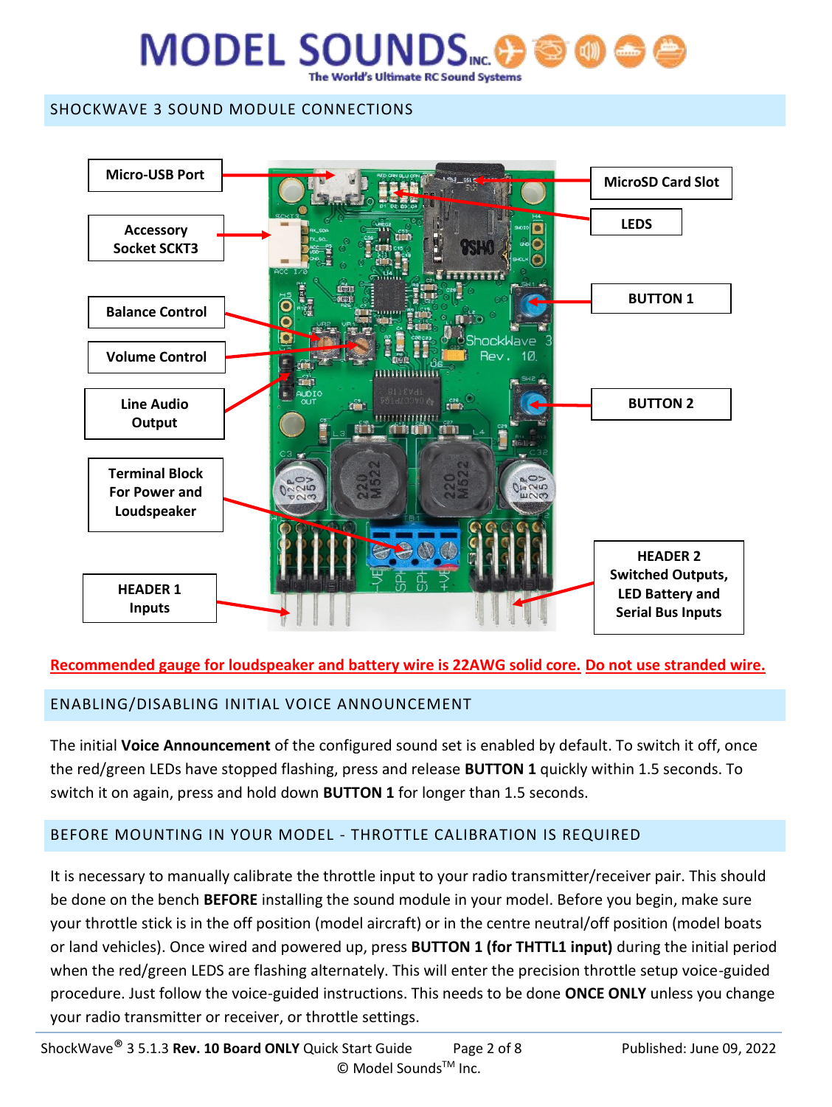### SHOCKWAVE 3 SOUND MODULE CONNECTIONS



# **Recommended gauge for loudspeaker and battery wire is 22AWG solid core. Do not use stranded wire.**

# ENABLING/DISABLING INITIAL VOICE ANNOUNCEMENT

The initial **Voice Announcement** of the configured sound set is enabled by default. To switch it off, once the red/green LEDs have stopped flashing, press and release **BUTTON 1** quickly within 1.5 seconds. To switch it on again, press and hold down **BUTTON 1** for longer than 1.5 seconds.

# BEFORE MOUNTING IN YOUR MODEL - THROTTLE CALIBRATION IS REQUIRED

It is necessary to manually calibrate the throttle input to your radio transmitter/receiver pair. This should be done on the bench **BEFORE** installing the sound module in your model. Before you begin, make sure your throttle stick is in the off position (model aircraft) or in the centre neutral/off position (model boats or land vehicles). Once wired and powered up, press **BUTTON 1 (for THTTL1 input)** during the initial period when the red/green LEDS are flashing alternately. This will enter the precision throttle setup voice-guided procedure. Just follow the voice-guided instructions. This needs to be done **ONCE ONLY** unless you change your radio transmitter or receiver, or throttle settings.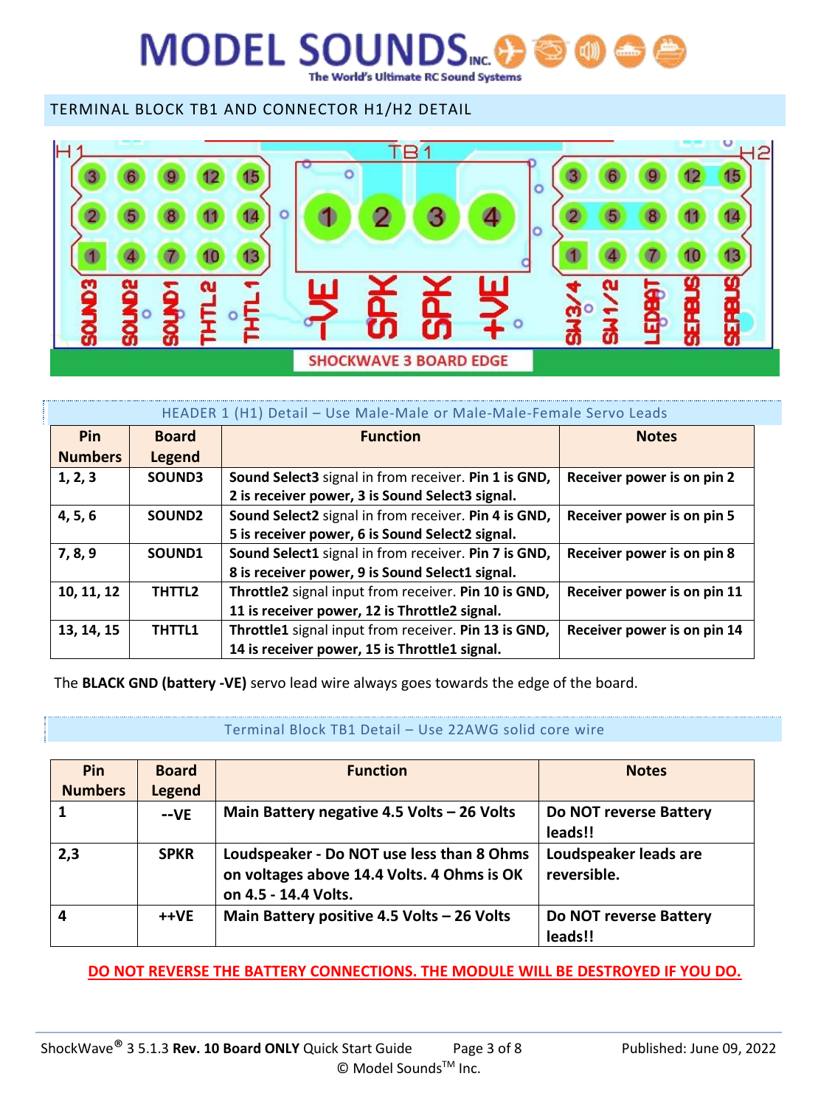# **MODEL SOUNDS** World's Ultimate RC Sound Systems

TERMINAL BLOCK TB1 AND CONNECTOR H1/H2 DETAIL



| HEADER 1 (H1) Detail - Use Male-Male or Male-Male-Female Servo Leads |                    |                                                      |                             |  |
|----------------------------------------------------------------------|--------------------|------------------------------------------------------|-----------------------------|--|
| Pin                                                                  | <b>Board</b>       | <b>Function</b>                                      | <b>Notes</b>                |  |
| <b>Numbers</b>                                                       | <b>Legend</b>      |                                                      |                             |  |
| 1, 2, 3                                                              | SOUND3             | Sound Select3 signal in from receiver. Pin 1 is GND, | Receiver power is on pin 2  |  |
|                                                                      |                    | 2 is receiver power, 3 is Sound Select3 signal.      |                             |  |
| 4, 5, 6                                                              | SOUND <sub>2</sub> | Sound Select2 signal in from receiver. Pin 4 is GND, | Receiver power is on pin 5  |  |
|                                                                      |                    | 5 is receiver power, 6 is Sound Select2 signal.      |                             |  |
| 7, 8, 9                                                              | SOUND1             | Sound Select1 signal in from receiver. Pin 7 is GND, | Receiver power is on pin 8  |  |
|                                                                      |                    | 8 is receiver power, 9 is Sound Select1 signal.      |                             |  |
| 10, 11, 12                                                           | THTTL2             | Throttle2 signal input from receiver. Pin 10 is GND, | Receiver power is on pin 11 |  |
|                                                                      |                    | 11 is receiver power, 12 is Throttle2 signal.        |                             |  |
| 13, 14, 15                                                           | THTTL1             | Throttle1 signal input from receiver. Pin 13 is GND, | Receiver power is on pin 14 |  |
|                                                                      |                    | 14 is receiver power, 15 is Throttle1 signal.        |                             |  |

The **BLACK GND (battery -VE)** servo lead wire always goes towards the edge of the board.

#### Terminal Block TB1 Detail – Use 22AWG solid core wire

| Pin            | <b>Board</b>  | <b>Function</b>                                                                                                 | <b>Notes</b>                         |
|----------------|---------------|-----------------------------------------------------------------------------------------------------------------|--------------------------------------|
| <b>Numbers</b> | <b>Legend</b> |                                                                                                                 |                                      |
|                | $-VE$         | Main Battery negative 4.5 Volts - 26 Volts                                                                      | Do NOT reverse Battery<br>leads!!    |
| 2,3            | <b>SPKR</b>   | Loudspeaker - Do NOT use less than 8 Ohms<br>on voltages above 14.4 Volts. 4 Ohms is OK<br>on 4.5 - 14.4 Volts. | Loudspeaker leads are<br>reversible. |
| 4              | ++VE          | Main Battery positive 4.5 Volts - 26 Volts                                                                      | Do NOT reverse Battery<br>leads!!    |

**DO NOT REVERSE THE BATTERY CONNECTIONS. THE MODULE WILL BE DESTROYED IF YOU DO.**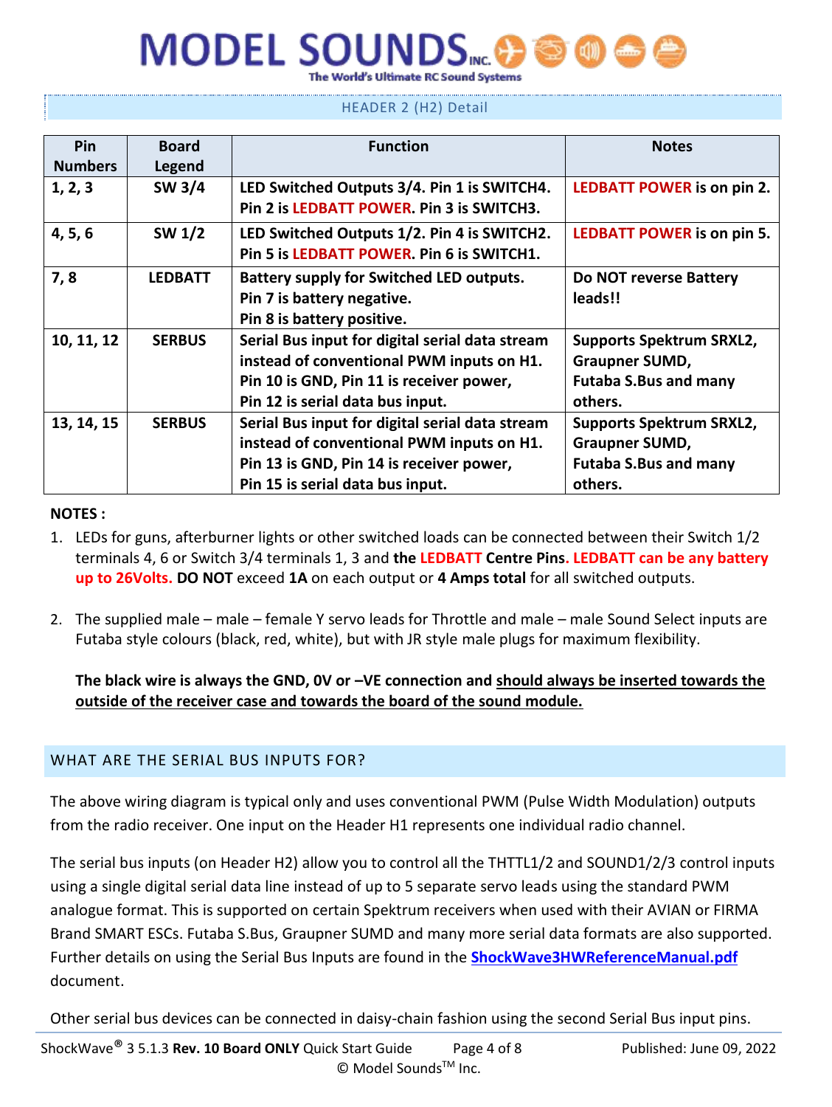# HEADER 2 (H2) Detail

| Pin            | <b>Board</b>   | <b>Function</b>                                                                                                                                                              | <b>Notes</b>                                                                                        |
|----------------|----------------|------------------------------------------------------------------------------------------------------------------------------------------------------------------------------|-----------------------------------------------------------------------------------------------------|
| <b>Numbers</b> | Legend         |                                                                                                                                                                              |                                                                                                     |
| 1, 2, 3        | SW 3/4         | LED Switched Outputs 3/4. Pin 1 is SWITCH4.<br>Pin 2 is LEDBATT POWER. Pin 3 is SWITCH3.                                                                                     | LEDBATT POWER is on pin 2.                                                                          |
| 4, 5, 6        | <b>SW 1/2</b>  | LED Switched Outputs 1/2. Pin 4 is SWITCH2.<br>Pin 5 is LEDBATT POWER. Pin 6 is SWITCH1.                                                                                     | <b>LEDBATT POWER is on pin 5.</b>                                                                   |
| 7,8            | <b>LEDBATT</b> | <b>Battery supply for Switched LED outputs.</b><br>Pin 7 is battery negative.<br>Pin 8 is battery positive.                                                                  | Do NOT reverse Battery<br>leads!!                                                                   |
| 10, 11, 12     | <b>SERBUS</b>  | Serial Bus input for digital serial data stream<br>instead of conventional PWM inputs on H1.<br>Pin 10 is GND, Pin 11 is receiver power,<br>Pin 12 is serial data bus input. | <b>Supports Spektrum SRXL2,</b><br><b>Graupner SUMD,</b><br><b>Futaba S.Bus and many</b><br>others. |
| 13, 14, 15     | <b>SERBUS</b>  | Serial Bus input for digital serial data stream<br>instead of conventional PWM inputs on H1.<br>Pin 13 is GND, Pin 14 is receiver power,<br>Pin 15 is serial data bus input. | <b>Supports Spektrum SRXL2,</b><br><b>Graupner SUMD,</b><br><b>Futaba S.Bus and many</b><br>others. |

#### **NOTES :**

- 1. LEDs for guns, afterburner lights or other switched loads can be connected between their Switch 1/2 terminals 4, 6 or Switch 3/4 terminals 1, 3 and **the LEDBATT Centre Pins. LEDBATT can be any battery up to 26Volts. DO NOT** exceed **1A** on each output or **4 Amps total** for all switched outputs.
- 2. The supplied male male female Y servo leads for Throttle and male male Sound Select inputs are Futaba style colours (black, red, white), but with JR style male plugs for maximum flexibility.

### **The black wire is always the GND, 0V or –VE connection and should always be inserted towards the outside of the receiver case and towards the board of the sound module.**

### WHAT ARE THE SERIAL BUS INPUTS FOR?

The above wiring diagram is typical only and uses conventional PWM (Pulse Width Modulation) outputs from the radio receiver. One input on the Header H1 represents one individual radio channel.

The serial bus inputs (on Header H2) allow you to control all the THTTL1/2 and SOUND1/2/3 control inputs using a single digital serial data line instead of up to 5 separate servo leads using the standard PWM analogue format. This is supported on certain Spektrum receivers when used with their AVIAN or FIRMA Brand SMART ESCs. Futaba S.Bus, Graupner SUMD and many more serial data formats are also supported. Further details on using the Serial Bus Inputs are found in the **ShockWave3HWReferenceManual.pdf** document.

Other serial bus devices can be connected in daisy-chain fashion using the second Serial Bus input pins.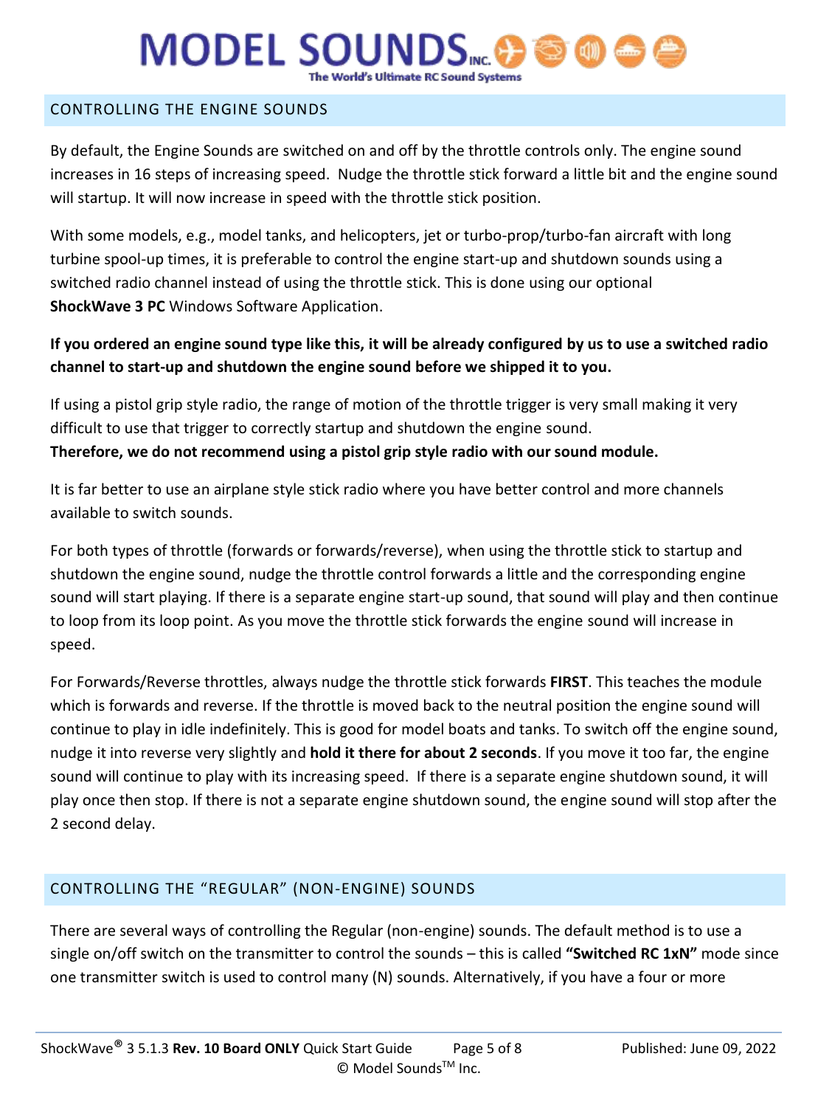### CONTROLLING THE ENGINE SOUNDS

By default, the Engine Sounds are switched on and off by the throttle controls only. The engine sound increases in 16 steps of increasing speed. Nudge the throttle stick forward a little bit and the engine sound will startup. It will now increase in speed with the throttle stick position.

With some models, e.g., model tanks, and helicopters, jet or turbo-prop/turbo-fan aircraft with long turbine spool-up times, it is preferable to control the engine start-up and shutdown sounds using a switched radio channel instead of using the throttle stick. This is done using our optional **ShockWave 3 PC** Windows Software Application.

# **If you ordered an engine sound type like this, it will be already configured by us to use a switched radio channel to start-up and shutdown the engine sound before we shipped it to you.**

If using a pistol grip style radio, the range of motion of the throttle trigger is very small making it very difficult to use that trigger to correctly startup and shutdown the engine sound. **Therefore, we do not recommend using a pistol grip style radio with our sound module.**

It is far better to use an airplane style stick radio where you have better control and more channels available to switch sounds.

For both types of throttle (forwards or forwards/reverse), when using the throttle stick to startup and shutdown the engine sound, nudge the throttle control forwards a little and the corresponding engine sound will start playing. If there is a separate engine start-up sound, that sound will play and then continue to loop from its loop point. As you move the throttle stick forwards the engine sound will increase in speed.

For Forwards/Reverse throttles, always nudge the throttle stick forwards **FIRST**. This teaches the module which is forwards and reverse. If the throttle is moved back to the neutral position the engine sound will continue to play in idle indefinitely. This is good for model boats and tanks. To switch off the engine sound, nudge it into reverse very slightly and **hold it there for about 2 seconds**. If you move it too far, the engine sound will continue to play with its increasing speed. If there is a separate engine shutdown sound, it will play once then stop. If there is not a separate engine shutdown sound, the engine sound will stop after the 2 second delay.

# CONTROLLING THE "REGULAR" (NON-ENGINE) SOUNDS

There are several ways of controlling the Regular (non-engine) sounds. The default method is to use a single on/off switch on the transmitter to control the sounds – this is called **"Switched RC 1xN"** mode since one transmitter switch is used to control many (N) sounds. Alternatively, if you have a four or more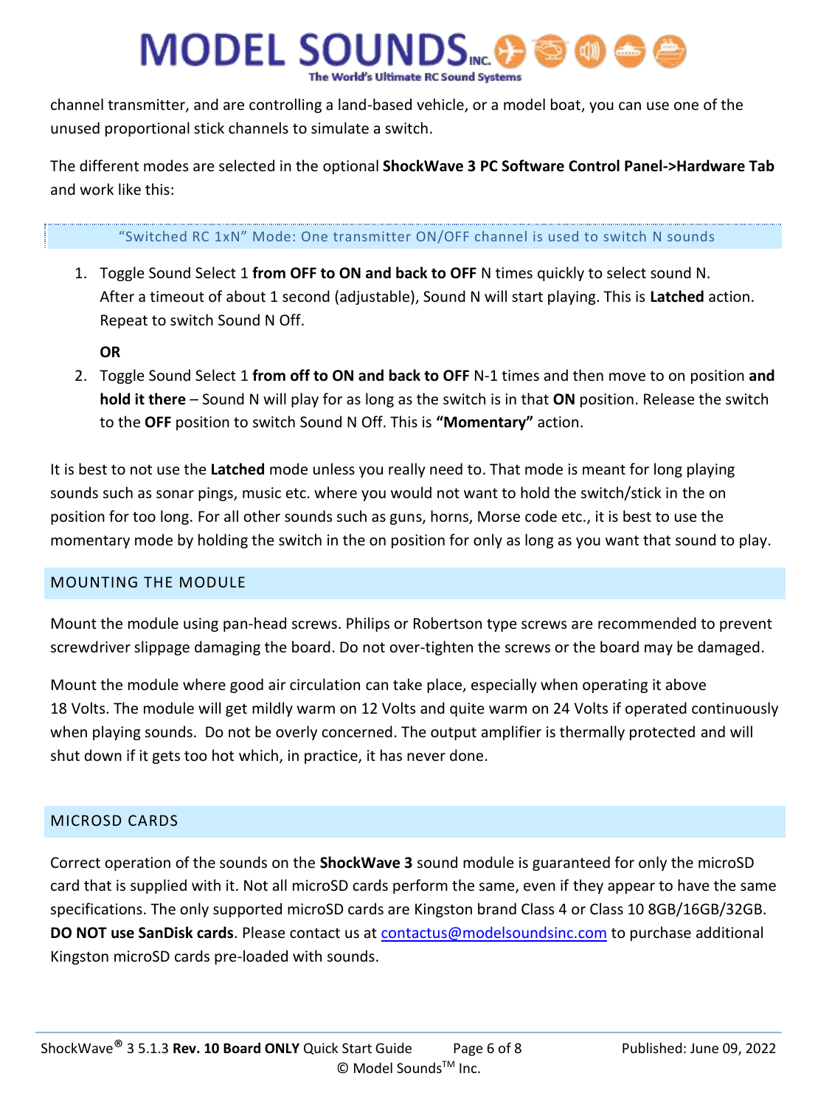channel transmitter, and are controlling a land-based vehicle, or a model boat, you can use one of the unused proportional stick channels to simulate a switch.

The different modes are selected in the optional **ShockWave 3 PC Software Control Panel->Hardware Tab** and work like this:

#### "Switched RC 1xN" Mode: One transmitter ON/OFF channel is used to switch N sounds

1. Toggle Sound Select 1 **from OFF to ON and back to OFF** N times quickly to select sound N. After a timeout of about 1 second (adjustable), Sound N will start playing. This is **Latched** action. Repeat to switch Sound N Off.

**OR**

2. Toggle Sound Select 1 **from off to ON and back to OFF** N-1 times and then move to on position **and hold it there** – Sound N will play for as long as the switch is in that **ON** position. Release the switch to the **OFF** position to switch Sound N Off. This is **"Momentary"** action.

It is best to not use the **Latched** mode unless you really need to. That mode is meant for long playing sounds such as sonar pings, music etc. where you would not want to hold the switch/stick in the on position for too long. For all other sounds such as guns, horns, Morse code etc., it is best to use the momentary mode by holding the switch in the on position for only as long as you want that sound to play.

#### MOUNTING THE MODULE

Mount the module using pan-head screws. Philips or Robertson type screws are recommended to prevent screwdriver slippage damaging the board. Do not over-tighten the screws or the board may be damaged.

Mount the module where good air circulation can take place, especially when operating it above 18 Volts. The module will get mildly warm on 12 Volts and quite warm on 24 Volts if operated continuously when playing sounds. Do not be overly concerned. The output amplifier is thermally protected and will shut down if it gets too hot which, in practice, it has never done.

#### MICROSD CARDS

Correct operation of the sounds on the **ShockWave 3** sound module is guaranteed for only the microSD card that is supplied with it. Not all microSD cards perform the same, even if they appear to have the same specifications. The only supported microSD cards are Kingston brand Class 4 or Class 10 8GB/16GB/32GB. **DO NOT use SanDisk cards**. Please contact us at [contactus@modelsoundsinc.com](mailto:contactus@modelsoundsinc.com) to purchase additional Kingston microSD cards pre-loaded with sounds.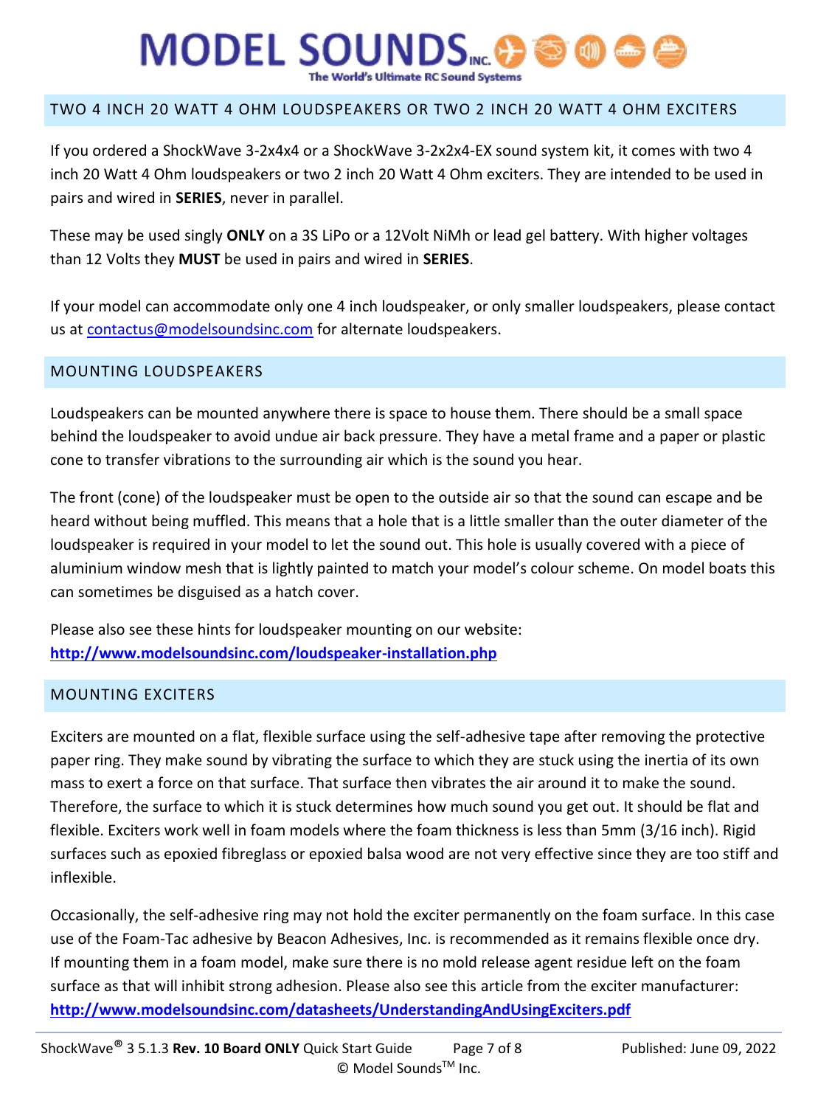### TWO 4 INCH 20 WATT 4 OHM LOUDSPEAKERS OR TWO 2 INCH 20 WATT 4 OHM EXCITERS

If you ordered a ShockWave 3-2x4x4 or a ShockWave 3-2x2x4-EX sound system kit, it comes with two 4 inch 20 Watt 4 Ohm loudspeakers or two 2 inch 20 Watt 4 Ohm exciters. They are intended to be used in pairs and wired in **SERIES**, never in parallel.

These may be used singly **ONLY** on a 3S LiPo or a 12Volt NiMh or lead gel battery. With higher voltages than 12 Volts they **MUST** be used in pairs and wired in **SERIES**.

If your model can accommodate only one 4 inch loudspeaker, or only smaller loudspeakers, please contact us at [contactus@modelsoundsinc.com](mailto:contactus@modelsoundsinc.com) for alternate loudspeakers.

#### MOUNTING LOUDSPEAKERS

Loudspeakers can be mounted anywhere there is space to house them. There should be a small space behind the loudspeaker to avoid undue air back pressure. They have a metal frame and a paper or plastic cone to transfer vibrations to the surrounding air which is the sound you hear.

The front (cone) of the loudspeaker must be open to the outside air so that the sound can escape and be heard without being muffled. This means that a hole that is a little smaller than the outer diameter of the loudspeaker is required in your model to let the sound out. This hole is usually covered with a piece of aluminium window mesh that is lightly painted to match your model's colour scheme. On model boats this can sometimes be disguised as a hatch cover.

Please also see these hints for loudspeaker mounting on our website: **<http://www.modelsoundsinc.com/loudspeaker-installation.php>**

### MOUNTING EXCITERS

Exciters are mounted on a flat, flexible surface using the self-adhesive tape after removing the protective paper ring. They make sound by vibrating the surface to which they are stuck using the inertia of its own mass to exert a force on that surface. That surface then vibrates the air around it to make the sound. Therefore, the surface to which it is stuck determines how much sound you get out. It should be flat and flexible. Exciters work well in foam models where the foam thickness is less than 5mm (3/16 inch). Rigid surfaces such as epoxied fibreglass or epoxied balsa wood are not very effective since they are too stiff and inflexible.

Occasionally, the self-adhesive ring may not hold the exciter permanently on the foam surface. In this case use of the Foam-Tac adhesive by Beacon Adhesives, Inc. is recommended as it remains flexible once dry. If mounting them in a foam model, make sure there is no mold release agent residue left on the foam surface as that will inhibit strong adhesion. Please also see this article from the exciter manufacturer: **<http://www.modelsoundsinc.com/datasheets/UnderstandingAndUsingExciters.pdf>**